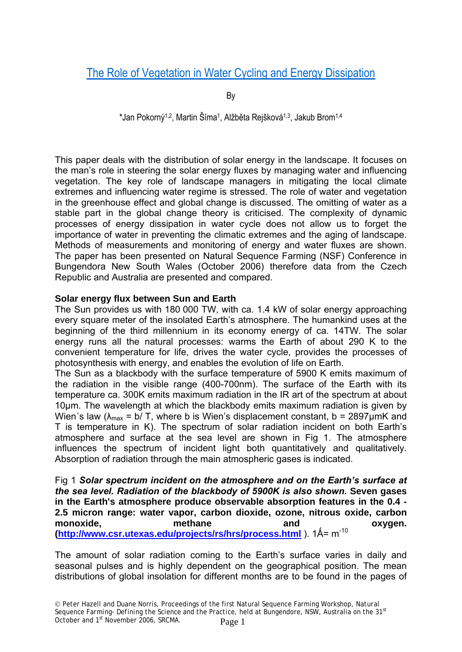# The Role of Vegetation in Water Cycling and Energy Dissipation

By

### \*Jan Pokorný1,2, Martin Šíma1, Alžběta Rejšková1,3, Jakub Brom1,4

This paper deals with the distribution of solar energy in the landscape. It focuses on the man's role in steering the solar energy fluxes by managing water and influencing vegetation. The key role of landscape managers in mitigating the local climate extremes and influencing water regime is stressed. The role of water and vegetation in the greenhouse effect and global change is discussed. The omitting of water as a stable part in the global change theory is criticised. The complexity of dynamic processes of energy dissipation in water cycle does not allow us to forget the importance of water in preventing the climatic extremes and the aging of landscape. Methods of measurements and monitoring of energy and water fluxes are shown. The paper has been presented on Natural Sequence Farming (NSF) Conference in Bungendora New South Wales (October 2006) therefore data from the Czech Republic and Australia are presented and compared.

#### **Solar energy flux between Sun and Earth**

The Sun provides us with 180 000 TW, with ca. 1.4 kW of solar energy approaching every square meter of the insolated Earth's atmosphere. The humankind uses at the beginning of the third millennium in its economy energy of ca. 14TW. The solar energy runs all the natural processes: warms the Earth of about 290 K to the convenient temperature for life, drives the water cycle, provides the processes of photosynthesis with energy, and enables the evolution of life on Earth.

The Sun as a blackbody with the surface temperature of 5900 K emits maximum of the radiation in the visible range (400-700nm). The surface of the Earth with its temperature ca. 300K emits maximum radiation in the IR art of the spectrum at about 10μm. The wavelength at which the blackbody emits maximum radiation is given by Wien's law ( $\lambda_{\text{max}}$  = b/ T, where b is Wien's displacement constant, b = 2897 µmK and T is temperature in K). The spectrum of solar radiation incident on both Earth's atmosphere and surface at the sea level are shown in Fig 1. The atmosphere influences the spectrum of incident light both quantitatively and qualitatively. Absorption of radiation through the main atmospheric gases is indicated.

Fig 1 *Solar spectrum incident on the atmosphere and on the Earth's surface at the sea level. Radiation of the blackbody of 5900K is also shown.* **Seven gases in the Earth's atmosphere produce observable absorption features in the 0.4 - 2.5 micron range: water vapor, carbon dioxide, ozone, nitrous oxide, carbon**  monoxide, methane and oxygen. **(http://www.csr.utexas.edu/projects/rs/hrs/process.html**). 1Å= m<sup>-10</sup>

The amount of solar radiation coming to the Earth's surface varies in daily and seasonal pulses and is highly dependent on the geographical position. The mean distributions of global insolation for different months are to be found in the pages of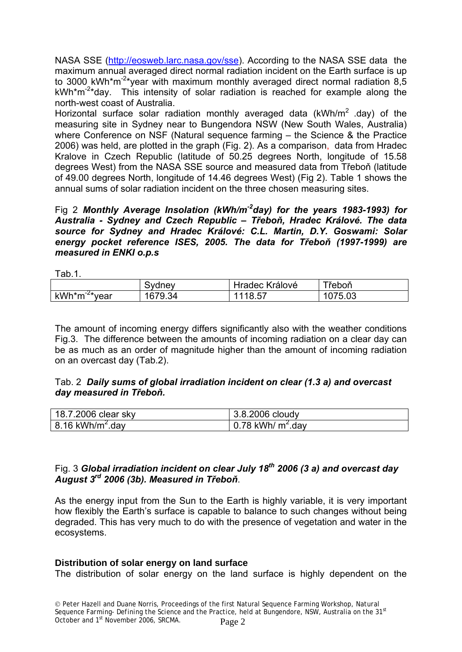NASA SSE (http://eosweb.larc.nasa.gov/sse). According to the NASA SSE data the maximum annual averaged direct normal radiation incident on the Earth surface is up to 3000 kWh<sup>\*</sup>m<sup>-2\*</sup>year with maximum monthly averaged direct normal radiation 8.5  $kWh*m^{-2*}day$ . This intensity of solar radiation is reached for example along the north-west coast of Australia.

Horizontal surface solar radiation monthly averaged data ( $kWh/m<sup>2</sup>$  day) of the measuring site in Sydney near to Bungendora NSW (New South Wales, Australia) where Conference on NSF (Natural sequence farming – the Science & the Practice 2006) was held, are plotted in the graph (Fig. 2). As a comparison, data from Hradec Kralove in Czech Republic (latitude of 50.25 degrees North, longitude of 15.58 degrees West) from the NASA SSE source and measured data from Třeboň (latitude of 49.00 degrees North, longitude of 14.46 degrees West) (Fig 2). Table 1 shows the annual sums of solar radiation incident on the three chosen measuring sites.

### Fig 2 *Monthly Average Insolation (kWh/m-2day) for the years 1983-1993) for Australia - Sydney and Czech Republic – Třeboň, Hradec Králové. The data source for Sydney and Hradec Králové: C.L. Martin, D.Y. Goswami: Solar energy pocket reference ISES, 2005. The data for Třeboň (1997-1999) are measured in ENKI o.p.s*

Tab.1.

|                              | Sydney  | Hradec Králové | īreboň  |
|------------------------------|---------|----------------|---------|
| kWh*m<br><sup>-∠*</sup> vear | 1679.34 | . 57<br>1118   | 1075.03 |

The amount of incoming energy differs significantly also with the weather conditions Fig.3. The difference between the amounts of incoming radiation on a clear day can be as much as an order of magnitude higher than the amount of incoming radiation on an overcast day (Tab.2).

# Tab. 2 *Daily sums of global irradiation incident on clear (1.3 a) and overcast day measured in Třeboň.*

| 18.7.2006 clear sky          | 3.8.2006 cloudy    |
|------------------------------|--------------------|
| 8.16 kWh/m <sup>2</sup> .day | 0.78 kWh/ $m2$ day |

# Fig. 3 *Global irradiation incident on clear July 18th 2006 (3 a) and overcast day August 3rd 2006 (3b). Measured in Třeboň*.

As the energy input from the Sun to the Earth is highly variable, it is very important how flexibly the Earth's surface is capable to balance to such changes without being degraded. This has very much to do with the presence of vegetation and water in the ecosystems.

# **Distribution of solar energy on land surface**

The distribution of solar energy on the land surface is highly dependent on the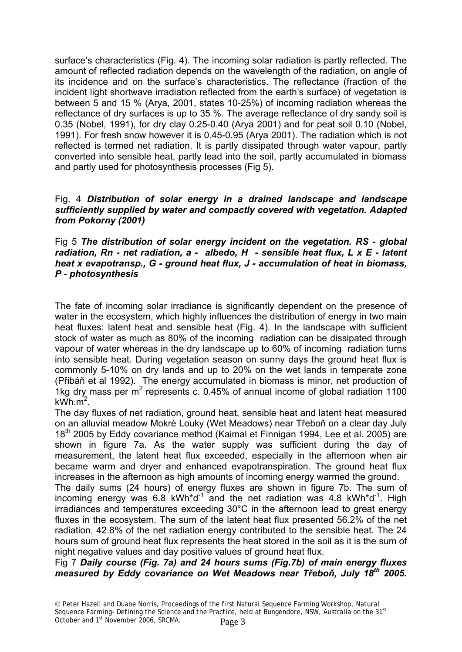surface's characteristics (Fig. 4). The incoming solar radiation is partly reflected. The amount of reflected radiation depends on the wavelength of the radiation, on angle of its incidence and on the surface's characteristics. The reflectance (fraction of the incident light shortwave irradiation reflected from the earth's surface) of vegetation is between 5 and 15 % (Arya, 2001, states 10-25%) of incoming radiation whereas the reflectance of dry surfaces is up to 35 %. The average reflectance of dry sandy soil is 0.35 (Nobel, 1991), for dry clay 0.25-0.40 (Arya 2001) and for peat soil 0.10 (Nobel, 1991). For fresh snow however it is 0.45-0.95 (Arya 2001). The radiation which is not reflected is termed net radiation. It is partly dissipated through water vapour, partly converted into sensible heat, partly lead into the soil, partly accumulated in biomass and partly used for photosynthesis processes (Fig 5).

# Fig. 4 *Distribution of solar energy in a drained landscape and landscape sufficiently supplied by water and compactly covered with vegetation. Adapted from Pokorny (2001)*

### Fig 5 *The distribution of solar energy incident on the vegetation. RS - global radiation, Rn - net radiation, a - albedo, H - sensible heat flux, L x E - latent heat x evapotransp., G - ground heat flux, J - accumulation of heat in biomass, P - photosynthesis*

The fate of incoming solar irradiance is significantly dependent on the presence of water in the ecosystem, which highly influences the distribution of energy in two main heat fluxes: latent heat and sensible heat (Fig. 4). In the landscape with sufficient stock of water as much as 80% of the incoming radiation can be dissipated through vapour of water whereas in the dry landscape up to 60% of incoming radiation turns into sensible heat. During vegetation season on sunny days the ground heat flux is commonly 5-10% on dry lands and up to 20% on the wet lands in temperate zone (Přibáň et al 1992). The energy accumulated in biomass is minor, net production of 1kg dry mass per  $m^2$  represents c. 0.45% of annual income of global radiation 1100  $kWh.m<sup>2</sup>$ .

The day fluxes of net radiation, ground heat, sensible heat and latent heat measured on an alluvial meadow Mokré Louky (Wet Meadows) near Třeboň on a clear day July 18<sup>th</sup> 2005 by Eddy covariance method (Kaimal et Finnigan 1994, Lee et al. 2005) are shown in figure 7a. As the water supply was sufficient during the day of measurement, the latent heat flux exceeded, especially in the afternoon when air became warm and dryer and enhanced evapotranspiration. The ground heat flux increases in the afternoon as high amounts of incoming energy warmed the ground. The daily sums (24 hours) of energy fluxes are shown in figure 7b. The sum of

incoming energy was 6.8 kWh<sup>\*d-1</sup> and the net radiation was 4.8 kWh<sup>\*d-1</sup>. High irradiances and temperatures exceeding 30°C in the afternoon lead to great energy fluxes in the ecosystem. The sum of the latent heat flux presented 56.2% of the net radiation, 42.8% of the net radiation energy contributed to the sensible heat. The 24 hours sum of ground heat flux represents the heat stored in the soil as it is the sum of night negative values and day positive values of ground heat flux.

Fig 7 *Daily course (Fig. 7a) and 24 hours sums (Fig.7b) of main energy fluxes measured by Eddy covariance on Wet Meadows near Třeboň, July 18th 2005.*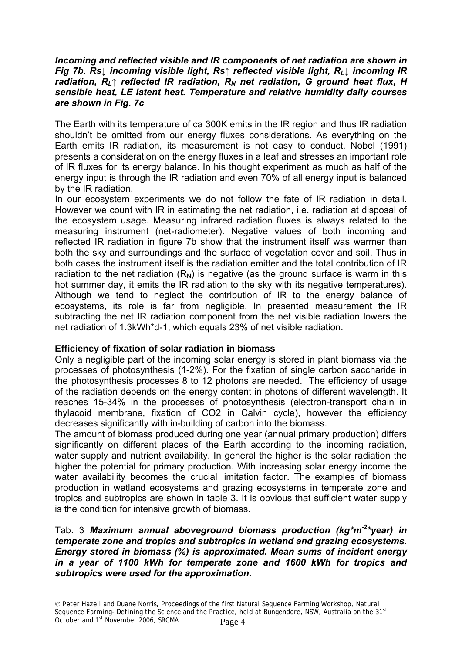### *Incoming and reflected visible and IR components of net radiation are shown in Fig 7b. Rs↓ incoming visible light, Rs↑ reflected visible light, RL↓ incoming IR radiation, RL↑ reflected IR radiation, RN net radiation, G ground heat flux, H sensible heat, LE latent heat. Temperature and relative humidity daily courses are shown in Fig. 7c*

The Earth with its temperature of ca 300K emits in the IR region and thus IR radiation shouldn't be omitted from our energy fluxes considerations. As everything on the Earth emits IR radiation, its measurement is not easy to conduct. Nobel (1991) presents a consideration on the energy fluxes in a leaf and stresses an important role of IR fluxes for its energy balance. In his thought experiment as much as half of the energy input is through the IR radiation and even 70% of all energy input is balanced by the IR radiation.

In our ecosystem experiments we do not follow the fate of IR radiation in detail. However we count with IR in estimating the net radiation, i.e. radiation at disposal of the ecosystem usage. Measuring infrared radiation fluxes is always related to the measuring instrument (net-radiometer). Negative values of both incoming and reflected IR radiation in figure 7b show that the instrument itself was warmer than both the sky and surroundings and the surface of vegetation cover and soil. Thus in both cases the instrument itself is the radiation emitter and the total contribution of IR radiation to the net radiation  $(R_N)$  is negative (as the ground surface is warm in this hot summer day, it emits the IR radiation to the sky with its negative temperatures). Although we tend to neglect the contribution of IR to the energy balance of ecosystems, its role is far from negligible. In presented measurement the IR subtracting the net IR radiation component from the net visible radiation lowers the net radiation of 1.3kWh\*d-1, which equals 23% of net visible radiation.

# **Efficiency of fixation of solar radiation in biomass**

Only a negligible part of the incoming solar energy is stored in plant biomass via the processes of photosynthesis (1-2%). For the fixation of single carbon saccharide in the photosynthesis processes 8 to 12 photons are needed. The efficiency of usage of the radiation depends on the energy content in photons of different wavelength. It reaches 15-34% in the processes of photosynthesis (electron-transport chain in thylacoid membrane, fixation of CO2 in Calvin cycle), however the efficiency decreases significantly with in-building of carbon into the biomass.

The amount of biomass produced during one year (annual primary production) differs significantly on different places of the Earth according to the incoming radiation, water supply and nutrient availability. In general the higher is the solar radiation the higher the potential for primary production. With increasing solar energy income the water availability becomes the crucial limitation factor. The examples of biomass production in wetland ecosystems and grazing ecosystems in temperate zone and tropics and subtropics are shown in table 3. It is obvious that sufficient water supply is the condition for intensive growth of biomass.

# Tab. 3 *Maximum annual aboveground biomass production (kg\*m-2\*year) in temperate zone and tropics and subtropics in wetland and grazing ecosystems. Energy stored in biomass (%) is approximated. Mean sums of incident energy in a year of 1100 kWh for temperate zone and 1600 kWh for tropics and subtropics were used for the approximation.*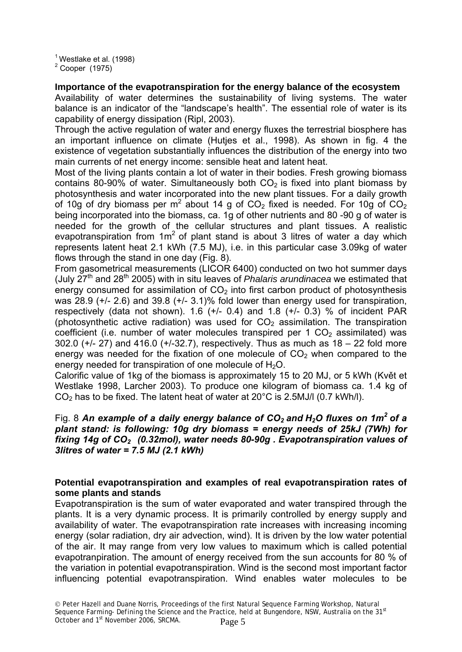$<sup>1</sup>$  Westlake et al. (1998)</sup>

 $2$  Cooper (1975)

#### **Importance of the evapotranspiration for the energy balance of the ecosystem**

Availability of water determines the sustainability of living systems. The water balance is an indicator of the "landscape's health". The essential role of water is its capability of energy dissipation (Ripl, 2003).

Through the active regulation of water and energy fluxes the terrestrial biosphere has an important influence on climate (Hutjes et al., 1998). As shown in fig. 4 the existence of vegetation substantially influences the distribution of the energy into two main currents of net energy income: sensible heat and latent heat.

Most of the living plants contain a lot of water in their bodies. Fresh growing biomass contains 80-90% of water. Simultaneously both  $CO<sub>2</sub>$  is fixed into plant biomass by photosynthesis and water incorporated into the new plant tissues. For a daily growth of 10g of dry biomass per m<sup>2</sup> about 14 g of CO<sub>2</sub> fixed is needed. For 10g of CO<sub>2</sub> being incorporated into the biomass, ca. 1g of other nutrients and 80 -90 g of water is needed for the growth of the cellular structures and plant tissues. A realistic evapotranspiration from  $1m^2$  of plant stand is about 3 litres of water a day which represents latent heat 2.1 kWh (7.5 MJ), i.e. in this particular case 3.09kg of water flows through the stand in one day (Fig. 8).

From gasometrical measurements (LICOR 6400) conducted on two hot summer days (July 27th and 28th 2005) with in situ leaves of *Phalaris arundinacea* we estimated that energy consumed for assimilation of  $CO<sub>2</sub>$  into first carbon product of photosynthesis was 28.9 (+/- 2.6) and 39.8 (+/- 3.1)% fold lower than energy used for transpiration, respectively (data not shown). 1.6 (+/- 0.4) and 1.8 (+/- 0.3) % of incident PAR (photosynthetic active radiation) was used for  $CO<sub>2</sub>$  assimilation. The transpiration coefficient (i.e. number of water molecules transpired per 1  $CO<sub>2</sub>$  assimilated) was 302.0 (+/- 27) and 416.0 (+/-32.7), respectively. Thus as much as 18 – 22 fold more energy was needed for the fixation of one molecule of  $CO<sub>2</sub>$  when compared to the energy needed for transpiration of one molecule of  $H_2O$ .

Calorific value of 1kg of the biomass is approximately 15 to 20 MJ, or 5 kWh (Květ et Westlake 1998, Larcher 2003). To produce one kilogram of biomass ca. 1.4 kg of CO2 has to be fixed. The latent heat of water at 20°C is 2.5MJ/l (0.7 kWh/l).

# Fig. 8 An example of a daily energy balance of CO<sub>2</sub> and H<sub>2</sub>O fluxes on 1m<sup>2</sup> of a *plant stand: is following: 10g dry biomass = energy needs of 25kJ (7Wh) for fixing 14g of CO2 (0.32mol), water needs 80-90g . Evapotranspiration values of 3litres of water = 7.5 MJ (2.1 kWh)*

# **Potential evapotranspiration and examples of real evapotranspiration rates of some plants and stands**

Evapotranspiration is the sum of water evaporated and water transpired through the plants. It is a very dynamic process. It is primarily controlled by energy supply and availability of water. The evapotranspiration rate increases with increasing incoming energy (solar radiation, dry air advection, wind). It is driven by the low water potential of the air. It may range from very low values to maximum which is called potential evapotranpiration. The amount of energy received from the sun accounts for 80 % of the variation in potential evapotranspiration. Wind is the second most important factor influencing potential evapotranspiration. Wind enables water molecules to be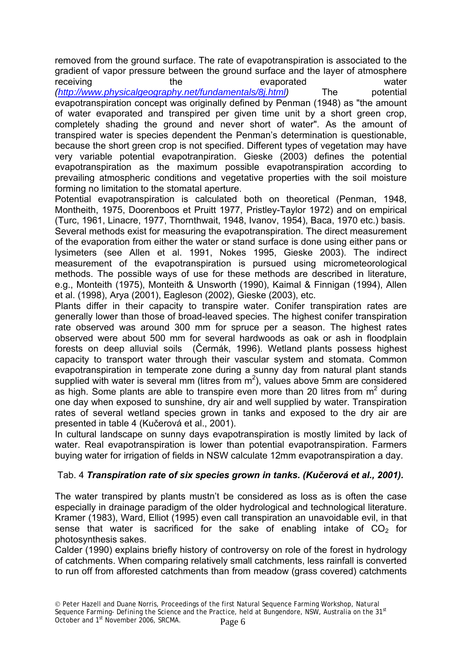removed from the ground surface. The rate of evapotranspiration is associated to the gradient of vapor pressure between the ground surface and the layer of atmosphere receiving the the evaporated water *(http://www.physicalgeography.net/fundamentals/8j.html)* The potential evapotranspiration concept was originally defined by Penman (1948) as "the amount of water evaporated and transpired per given time unit by a short green crop, completely shading the ground and never short of water". As the amount of transpired water is species dependent the Penman's determination is questionable, because the short green crop is not specified. Different types of vegetation may have very variable potential evapotranpiration. Gieske (2003) defines the potential evapotranspiration as the maximum possible evapotranspiration according to

prevailing atmospheric conditions and vegetative properties with the soil moisture

forming no limitation to the stomatal aperture. Potential evapotranspiration is calculated both on theoretical (Penman, 1948, Montheith, 1975, Doorenboos et Pruitt 1977, Pristley-Taylor 1972) and on empirical (Turc, 1961, Linacre, 1977, Thornthwait, 1948, Ivanov, 1954), Baca, 1970 etc.) basis. Several methods exist for measuring the evapotranspiration. The direct measurement of the evaporation from either the water or stand surface is done using either pans or lysimeters (see Allen et al. 1991, Nokes 1995, Gieske 2003). The indirect measurement of the evapotranspiration is pursued using micrometeorological methods. The possible ways of use for these methods are described in literature, e.g., Monteith (1975), Monteith & Unsworth (1990), Kaimal & Finnigan (1994), Allen et al. (1998), Arya (2001), Eagleson (2002), Gieske (2003), etc.

Plants differ in their capacity to transpire water. Conifer transpiration rates are generally lower than those of broad-leaved species. The highest conifer transpiration rate observed was around 300 mm for spruce per a season. The highest rates observed were about 500 mm for several hardwoods as oak or ash in floodplain forests on deep alluvial soils (Čermák, 1996). Wetland plants possess highest capacity to transport water through their vascular system and stomata. Common evapotranspiration in temperate zone during a sunny day from natural plant stands supplied with water is several mm (litres from  $m^2$ ), values above 5mm are considered as high. Some plants are able to transpire even more than 20 litres from  $m^2$  during one day when exposed to sunshine, dry air and well supplied by water. Transpiration rates of several wetland species grown in tanks and exposed to the dry air are presented in table 4 (Kučerová et al., 2001).

In cultural landscape on sunny days evapotranspiration is mostly limited by lack of water. Real evapotranspiration is lower than potential evapotranspiration. Farmers buying water for irrigation of fields in NSW calculate 12mm evapotranspiration a day.

# Tab. 4 *Transpiration rate of six species grown in tanks. (Kučerová et al., 2001).*

The water transpired by plants mustn't be considered as loss as is often the case especially in drainage paradigm of the older hydrological and technological literature. Kramer (1983), Ward, Elliot (1995) even call transpiration an unavoidable evil, in that sense that water is sacrificed for the sake of enabling intake of  $CO<sub>2</sub>$  for photosynthesis sakes.

Calder (1990) explains briefly history of controversy on role of the forest in hydrology of catchments. When comparing relatively small catchments, less rainfall is converted to run off from afforested catchments than from meadow (grass covered) catchments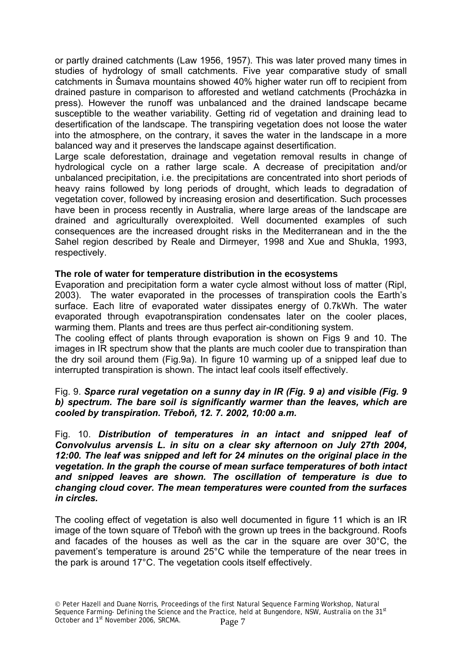or partly drained catchments (Law 1956, 1957). This was later proved many times in studies of hydrology of small catchments. Five year comparative study of small catchments in Šumava mountains showed 40% higher water run off to recipient from drained pasture in comparison to afforested and wetland catchments (Procházka in press). However the runoff was unbalanced and the drained landscape became susceptible to the weather variability. Getting rid of vegetation and draining lead to desertification of the landscape. The transpiring vegetation does not loose the water into the atmosphere, on the contrary, it saves the water in the landscape in a more balanced way and it preserves the landscape against desertification.

Large scale deforestation, drainage and vegetation removal results in change of hydrological cycle on a rather large scale. A decrease of precipitation and/or unbalanced precipitation, i.e. the precipitations are concentrated into short periods of heavy rains followed by long periods of drought, which leads to degradation of vegetation cover, followed by increasing erosion and desertification. Such processes have been in process recently in Australia, where large areas of the landscape are drained and agriculturally overexploited. Well documented examples of such consequences are the increased drought risks in the Mediterranean and in the the Sahel region described by Reale and Dirmeyer, 1998 and Xue and Shukla, 1993, respectively.

# **The role of water for temperature distribution in the ecosystems**

Evaporation and precipitation form a water cycle almost without loss of matter (Ripl, 2003). The water evaporated in the processes of transpiration cools the Earth's surface. Each litre of evaporated water dissipates energy of 0.7kWh. The water evaporated through evapotranspiration condensates later on the cooler places, warming them. Plants and trees are thus perfect air-conditioning system.

The cooling effect of plants through evaporation is shown on Figs 9 and 10. The images in IR spectrum show that the plants are much cooler due to transpiration than the dry soil around them (Fig.9a). In figure 10 warming up of a snipped leaf due to interrupted transpiration is shown. The intact leaf cools itself effectively.

Fig. 9. *Sparce rural vegetation on a sunny day in IR (Fig. 9 a) and visible (Fig. 9 b) spectrum. The bare soil is significantly warmer than the leaves, which are cooled by transpiration. Třeboň, 12. 7. 2002, 10:00 a.m.*

Fig. 10. *Distribution of temperatures in an intact and snipped leaf of Convolvulus arvensis L. in situ on a clear sky afternoon on July 27th 2004, 12:00. The leaf was snipped and left for 24 minutes on the original place in the vegetation. In the graph the course of mean surface temperatures of both intact and snipped leaves are shown. The oscillation of temperature is due to changing cloud cover. The mean temperatures were counted from the surfaces in circles.* 

The cooling effect of vegetation is also well documented in figure 11 which is an IR image of the town square of Třeboň with the grown up trees in the background. Roofs and facades of the houses as well as the car in the square are over  $30^{\circ}$ C, the pavement's temperature is around 25°C while the temperature of the near trees in the park is around 17°C. The vegetation cools itself effectively.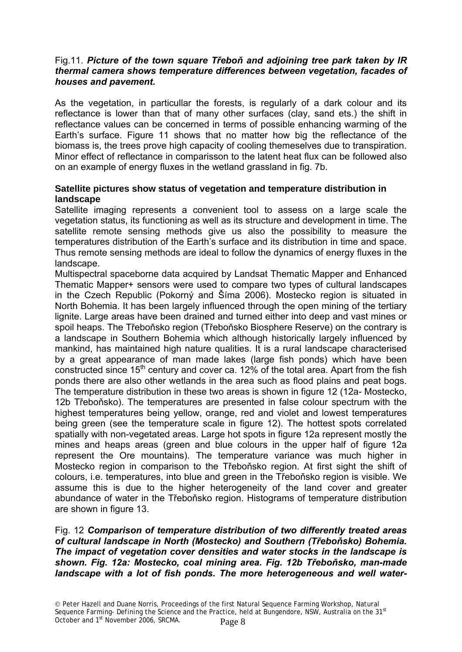# Fig.11. *Picture of the town square Třeboň and adjoining tree park taken by IR thermal camera shows temperature differences between vegetation, facades of houses and pavement.*

As the vegetation, in particullar the forests, is regularly of a dark colour and its reflectance is lower than that of many other surfaces (clay, sand ets.) the shift in reflectance values can be concerned in terms of possible enhancing warming of the Earth's surface. Figure 11 shows that no matter how big the reflectance of the biomass is, the trees prove high capacity of cooling themeselves due to transpiration. Minor effect of reflectance in comparisson to the latent heat flux can be followed also on an example of energy fluxes in the wetland grassland in fig. 7b.

# **Satellite pictures show status of vegetation and temperature distribution in landscape**

Satellite imaging represents a convenient tool to assess on a large scale the vegetation status, its functioning as well as its structure and development in time. The satellite remote sensing methods give us also the possibility to measure the temperatures distribution of the Earth's surface and its distribution in time and space. Thus remote sensing methods are ideal to follow the dynamics of energy fluxes in the landscape.

Multispectral spaceborne data acquired by Landsat Thematic Mapper and Enhanced Thematic Mapper+ sensors were used to compare two types of cultural landscapes in the Czech Republic (Pokorný and Šíma 2006). Mostecko region is situated in North Bohemia. It has been largely influenced through the open mining of the tertiary lignite. Large areas have been drained and turned either into deep and vast mines or spoil heaps. The Třeboňsko region (Třeboňsko Biosphere Reserve) on the contrary is a landscape in Southern Bohemia which although historically largely influenced by mankind, has maintained high nature qualities. It is a rural landscape characterised by a great appearance of man made lakes (large fish ponds) which have been constructed since  $15<sup>th</sup>$  century and cover ca. 12% of the total area. Apart from the fish ponds there are also other wetlands in the area such as flood plains and peat bogs. The temperature distribution in these two areas is shown in figure 12 (12a- Mostecko, 12b Třeboňsko). The temperatures are presented in false colour spectrum with the highest temperatures being yellow, orange, red and violet and lowest temperatures being green (see the temperature scale in figure 12). The hottest spots correlated spatially with non-vegetated areas. Large hot spots in figure 12a represent mostly the mines and heaps areas (green and blue colours in the upper half of figure 12a represent the Ore mountains). The temperature variance was much higher in Mostecko region in comparison to the Třeboňsko region. At first sight the shift of colours, i.e. temperatures, into blue and green in the Třeboňsko region is visible. We assume this is due to the higher heterogeneity of the land cover and greater abundance of water in the Třeboňsko region. Histograms of temperature distribution are shown in figure 13.

### Fig. 12 *Comparison of temperature distribution of two differently treated areas of cultural landscape in North (Mostecko) and Southern (Třeboňsko) Bohemia. The impact of vegetation cover densities and water stocks in the landscape is shown. Fig. 12a: Mostecko, coal mining area. Fig. 12b Třeboňsko, man-made landscape with a lot of fish ponds. The more heterogeneous and well water-*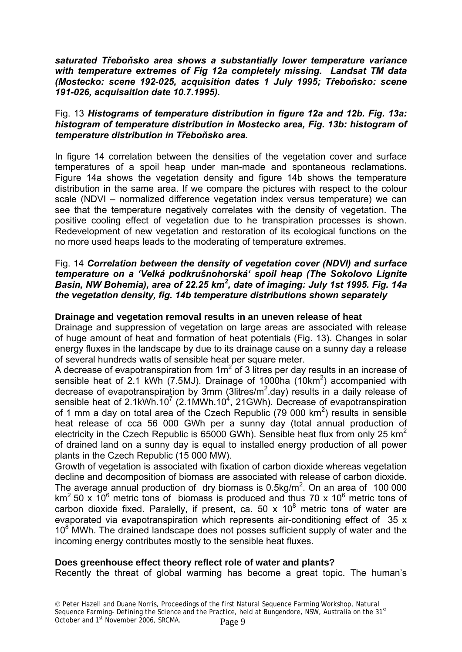*saturated Třeboňsko area shows a substantially lower temperature variance with temperature extremes of Fig 12a completely missing. Landsat TM data (Mostecko: scene 192-025, acquisition dates 1 July 1995; Třeboňsko: scene 191-026, acquisaition date 10.7.1995).* 

### Fig. 13 *Histograms of temperature distribution in figure 12a and 12b. Fig. 13a: histogram of temperature distribution in Mostecko area, Fig. 13b: histogram of temperature distribution in Třeboňsko area.*

In figure 14 correlation between the densities of the vegetation cover and surface temperatures of a spoil heap under man-made and spontaneous reclamations. Figure 14a shows the vegetation density and figure 14b shows the temperature distribution in the same area. If we compare the pictures with respect to the colour scale (NDVI – normalized difference vegetation index versus temperature) we can see that the temperature negatively correlates with the density of vegetation. The positive cooling effect of vegetation due to he transpiration processes is shown. Redevelopment of new vegetation and restoration of its ecological functions on the no more used heaps leads to the moderating of temperature extremes.

### Fig. 14 *Correlation between the density of vegetation cover (NDVI) and surface temperature on a 'Velká podkrušnohorská' spoil heap (The Sokolovo Lignite*  Basin, NW Bohemia), area of 22.25 km<sup>2</sup>, date of imaging: July 1st 1995. Fig. 14a *the vegetation density, fig. 14b temperature distributions shown separately*

### **Drainage and vegetation removal results in an uneven release of heat**

Drainage and suppression of vegetation on large areas are associated with release of huge amount of heat and formation of heat potentials (Fig. 13). Changes in solar energy fluxes in the landscape by due to its drainage cause on a sunny day a release of several hundreds watts of sensible heat per square meter.

A decrease of evapotranspiration from 1m<sup>2</sup> of 3 litres per day results in an increase of sensible heat of 2.1 kWh (7.5MJ). Drainage of 1000ha (10km<sup>2</sup>) accompanied with decrease of evapotranspiration by 3mm (3litres/m<sup>2</sup> day) results in a daily release of sensible heat of  $2.1$ kWh.10<sup>7</sup> (2.1MWh.10<sup>4</sup>, 21GWh). Decrease of evapotranspiration of 1 mm a day on total area of the Czech Republic (79 000  $km^2$ ) results in sensible heat release of cca 56 000 GWh per a sunny day (total annual production of electricity in the Czech Republic is 65000 GWh). Sensible heat flux from only 25  $km^2$ of drained land on a sunny day is equal to installed energy production of all power plants in the Czech Republic (15 000 MW).

Growth of vegetation is associated with fixation of carbon dioxide whereas vegetation decline and decomposition of biomass are associated with release of carbon dioxide. The average annual production of dry biomass is  $0.5$ kg/m<sup>2</sup>. On an area of 100 000 km<sup>2</sup> 50 x 10<sup>6</sup> metric tons of biomass is produced and thus 70 x 10<sup>6</sup> metric tons of carbon dioxide fixed. Paralelly, if present, ca. 50 x  $10^8$  metric tons of water are evaporated via evapotranspiration which represents air-conditioning effect of 35 x 10<sup>8</sup> MWh. The drained landscape does not posses sufficient supply of water and the incoming energy contributes mostly to the sensible heat fluxes.

#### **Does greenhouse effect theory reflect role of water and plants?**

Recently the threat of global warming has become a great topic. The human's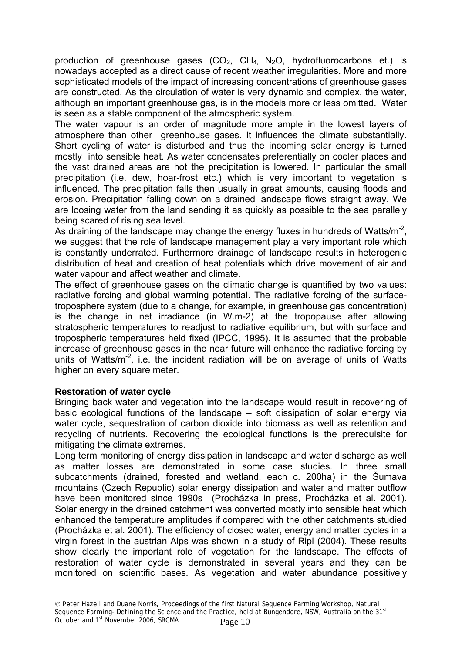production of greenhouse gases  $(CO_2, CH_4, N_2O, N_1)$  hydrofluorocarbons et.) is nowadays accepted as a direct cause of recent weather irregularities. More and more sophisticated models of the impact of increasing concentrations of greenhouse gases are constructed. As the circulation of water is very dynamic and complex, the water, although an important greenhouse gas, is in the models more or less omitted. Water is seen as a stable component of the atmospheric system.

The water vapour is an order of magnitude more ample in the lowest layers of atmosphere than other greenhouse gases. It influences the climate substantially. Short cycling of water is disturbed and thus the incoming solar energy is turned mostly into sensible heat. As water condensates preferentially on cooler places and the vast drained areas are hot the precipitation is lowered. In particular the small precipitation (i.e. dew, hoar-frost etc.) which is very important to vegetation is influenced. The precipitation falls then usually in great amounts, causing floods and erosion. Precipitation falling down on a drained landscape flows straight away. We are loosing water from the land sending it as quickly as possible to the sea parallely being scared of rising sea level.

As draining of the landscape may change the energy fluxes in hundreds of Watts/m<sup>-2</sup>, we suggest that the role of landscape management play a very important role which is constantly underrated. Furthermore drainage of landscape results in heterogenic distribution of heat and creation of heat potentials which drive movement of air and water vapour and affect weather and climate.

The effect of greenhouse gases on the climatic change is quantified by two values: radiative forcing and global warming potential. The radiative forcing of the surfacetroposphere system (due to a change, for example, in greenhouse gas concentration) is the change in net irradiance (in W.m-2) at the tropopause after allowing stratospheric temperatures to readjust to radiative equilibrium, but with surface and tropospheric temperatures held fixed (IPCC, 1995). It is assumed that the probable increase of greenhouse gases in the near future will enhance the radiative forcing by units of Watts/ $m<sup>2</sup>$ , i.e. the incident radiation will be on average of units of Watts higher on every square meter.

# **Restoration of water cycle**

Bringing back water and vegetation into the landscape would result in recovering of basic ecological functions of the landscape – soft dissipation of solar energy via water cycle, sequestration of carbon dioxide into biomass as well as retention and recycling of nutrients. Recovering the ecological functions is the prerequisite for mitigating the climate extremes.

Long term monitoring of energy dissipation in landscape and water discharge as well as matter losses are demonstrated in some case studies. In three small subcatchments (drained, forested and wetland, each c. 200ha) in the Šumava mountains (Czech Republic) solar energy dissipation and water and matter outflow have been monitored since 1990s (Procházka in press, Procházka et al. 2001). Solar energy in the drained catchment was converted mostly into sensible heat which enhanced the temperature amplitudes if compared with the other catchments studied (Procházka et al. 2001). The efficiency of closed water, energy and matter cycles in a virgin forest in the austrian Alps was shown in a study of Ripl (2004). These results show clearly the important role of vegetation for the landscape. The effects of restoration of water cycle is demonstrated in several years and they can be monitored on scientific bases. As vegetation and water abundance possitively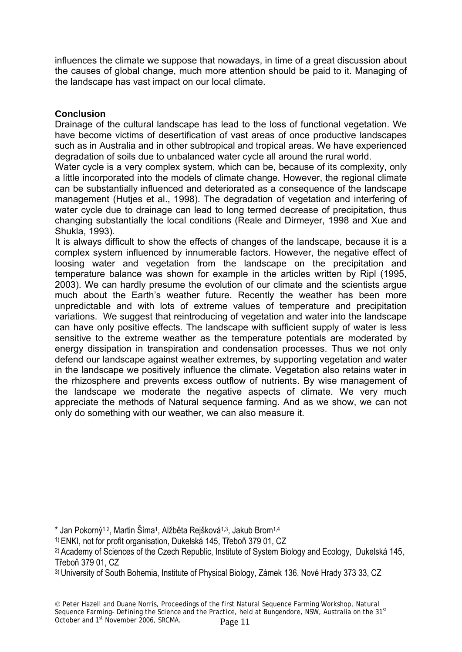influences the climate we suppose that nowadays, in time of a great discussion about the causes of global change, much more attention should be paid to it. Managing of the landscape has vast impact on our local climate.

# **Conclusion**

Drainage of the cultural landscape has lead to the loss of functional vegetation. We have become victims of desertification of vast areas of once productive landscapes such as in Australia and in other subtropical and tropical areas. We have experienced degradation of soils due to unbalanced water cycle all around the rural world.

Water cycle is a very complex system, which can be, because of its complexity, only a little incorporated into the models of climate change. However, the regional climate can be substantially influenced and deteriorated as a consequence of the landscape management (Hutjes et al., 1998). The degradation of vegetation and interfering of water cycle due to drainage can lead to long termed decrease of precipitation, thus changing substantially the local conditions (Reale and Dirmeyer, 1998 and Xue and Shukla, 1993).

It is always difficult to show the effects of changes of the landscape, because it is a complex system influenced by innumerable factors. However, the negative effect of loosing water and vegetation from the landscape on the precipitation and temperature balance was shown for example in the articles written by Ripl (1995, 2003). We can hardly presume the evolution of our climate and the scientists argue much about the Earth's weather future. Recently the weather has been more unpredictable and with lots of extreme values of temperature and precipitation variations. We suggest that reintroducing of vegetation and water into the landscape can have only positive effects. The landscape with sufficient supply of water is less sensitive to the extreme weather as the temperature potentials are moderated by energy dissipation in transpiration and condensation processes. Thus we not only defend our landscape against weather extremes, by supporting vegetation and water in the landscape we positively influence the climate. Vegetation also retains water in the rhizosphere and prevents excess outflow of nutrients. By wise management of the landscape we moderate the negative aspects of climate. We very much appreciate the methods of Natural sequence farming. And as we show, we can not only do something with our weather, we can also measure it.

<sup>\*</sup> Jan Pokorný1,2, Martin Šíma1, Alžběta Rejšková1,3, Jakub Brom1,4

<sup>1)</sup> ENKI, not for profit organisation, Dukelská 145, Třeboň 379 01, CZ

<sup>&</sup>lt;sup>2)</sup> Academy of Sciences of the Czech Republic, Institute of System Biology and Ecology, Dukelská 145, Třeboň 379 01, CZ

<sup>3)</sup> University of South Bohemia, Institute of Physical Biology, Zámek 136, Nové Hrady 373 33, CZ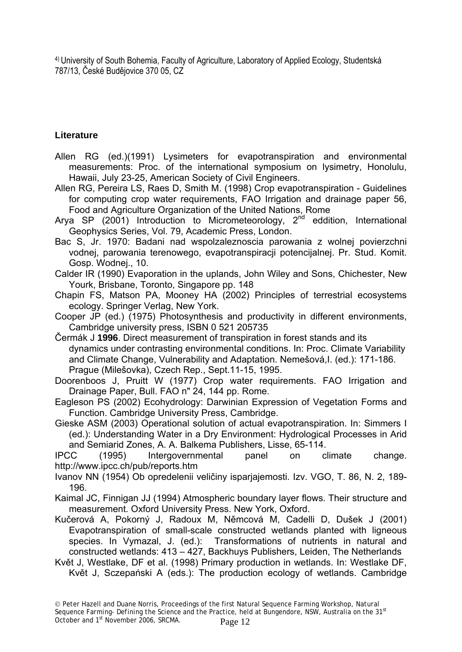4) University of South Bohemia, Faculty of Agriculture, Laboratory of Applied Ecology, Studentská 787/13, České Budějovice 370 05, CZ

# **Literature**

Allen RG (ed.)(1991) Lysimeters for evapotranspiration and environmental measurements: Proc. of the international symposium on lysimetry, Honolulu, Hawaii, July 23-25, American Society of Civil Engineers.

Allen RG, Pereira LS, Raes D, Smith M. (1998) Crop evapotranspiration - Guidelines for computing crop water requirements, FAO Irrigation and drainage paper 56, Food and Agriculture Organization of the United Nations, Rome

Arya SP (2001) Introduction to Micrometeorology,  $2^{nd}$  eddition, International Geophysics Series, Vol. 79, Academic Press, London.

Bac S, Jr. 1970: Badani nad wspolzaleznoscia parowania z wolnej povierzchni vodnej, parowania terenowego, evapotranspiracji potencijalnej. Pr. Stud. Komit. Gosp. Wodnej., 10.

Calder IR (1990) Evaporation in the uplands, John Wiley and Sons, Chichester, New Yourk, Brisbane, Toronto, Singapore pp. 148

Chapin FS, Matson PA, Mooney HA (2002) Principles of terrestrial ecosystems ecology. Springer Verlag, New York.

Cooper JP (ed.) (1975) Photosynthesis and productivity in different environments, Cambridge university press, ISBN 0 521 205735

Čermák J **1996**. Direct measurement of transpiration in forest stands and its dynamics under contrasting environmental conditions. In: Proc. Climate Variability and Climate Change, Vulnerability and Adaptation. Nemešová,I. (ed.): 171-186. Prague (Milešovka), Czech Rep., Sept.11-15, 1995.

Doorenboos J, Pruitt W (1977) Crop water requirements. FAO Irrigation and Drainage Paper, Bull. FAO n" 24, 144 pp. Rome.

Eagleson PS (2002) Ecohydrology: Darwinian Expression of Vegetation Forms and Function. Cambridge University Press, Cambridge.

Gieske ASM (2003) Operational solution of actual evapotranspiration. In: Simmers I (ed.): Understanding Water in a Dry Environment: Hydrological Processes in Arid and Semiarid Zones, A. A. Balkema Publishers, Lisse, 65-114.

IPCC (1995) Intergovernmental panel on climate change. http://www.ipcc.ch/pub/reports.htm

Ivanov NN (1954) Ob opredelenii veličiny isparjajemosti. Izv. VGO, T. 86, N. 2, 189- 196.

Kaimal JC, Finnigan JJ (1994) Atmospheric boundary layer flows. Their structure and measurement. Oxford University Press. New York, Oxford.

- Kučerová A, Pokorný J, Radoux M, Němcová M, Cadelli D, Dušek J (2001) Evapotranspiration of small-scale constructed wetlands planted with ligneous species. In Vymazal, J. (ed.): Transformations of nutrients in natural and constructed wetlands: 413 – 427, Backhuys Publishers, Leiden, The Netherlands
- Květ J, Westlake, DF et al. (1998) Primary production in wetlands. In: Westlake DF, Květ J, Sczepański A (eds.): The production ecology of wetlands. Cambridge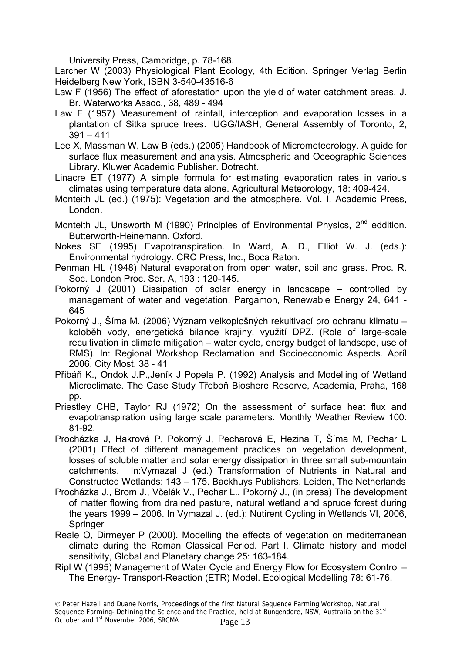University Press, Cambridge, p. 78-168.

Larcher W (2003) Physiological Plant Ecology, 4th Edition. Springer Verlag Berlin Heidelberg New York, ISBN 3-540-43516-6

- Law F (1956) The effect of aforestation upon the yield of water catchment areas. J. Br. Waterworks Assoc., 38, 489 - 494
- Law F (1957) Measurement of rainfall, interception and evaporation losses in a plantation of Sitka spruce trees. IUGG/IASH, General Assembly of Toronto, 2,  $391 - 411$
- Lee X, Massman W, Law B (eds.) (2005) Handbook of Micrometeorology. A guide for surface flux measurement and analysis. Atmospheric and Oceographic Sciences Library. Kluwer Academic Publisher. Dotrecht.
- Linacre ET (1977) A simple formula for estimating evaporation rates in various climates using temperature data alone. Agricultural Meteorology, 18: 409-424.
- Monteith JL (ed.) (1975): Vegetation and the atmosphere. Vol. I. Academic Press, London.
- Monteith JL, Unsworth M (1990) Principles of Environmental Physics, 2<sup>nd</sup> eddition. Butterworth-Heinemann, Oxford.
- Nokes SE (1995) Evapotranspiration. In Ward, A. D., Elliot W. J. (eds.): Environmental hydrology. CRC Press, Inc., Boca Raton.
- Penman HL (1948) Natural evaporation from open water, soil and grass. Proc. R. Soc. London Proc. Ser. A, 193 : 120-145.
- Pokorný J (2001) Dissipation of solar energy in landscape controlled by management of water and vegetation. Pargamon, Renewable Energy 24, 641 - 645
- Pokorný J., Šíma M. (2006) Význam velkoplošných rekultivací pro ochranu klimatu koloběh vody, energetická bilance krajiny, využití DPZ. (Role of large-scale recultivation in climate mitigation – water cycle, energy budget of landscpe, use of RMS). In: Regional Workshop Reclamation and Socioeconomic Aspects. Apríl 2006, City Most, 38 - 41
- Přibáň K., Ondok J.P.,Jeník J Popela P. (1992) Analysis and Modelling of Wetland Microclimate. The Case Study Třeboň Bioshere Reserve, Academia, Praha, 168 pp.
- Priestley CHB, Taylor RJ (1972) On the assessment of surface heat flux and evapotranspiration using large scale parameters. Monthly Weather Review 100: 81-92.
- Procházka J, Hakrová P, Pokorný J, Pecharová E, Hezina T, Šíma M, Pechar L (2001) Effect of different management practices on vegetation development, losses of soluble matter and solar energy dissipation in three small sub-mountain catchments. In:Vymazal J (ed.) Transformation of Nutrients in Natural and Constructed Wetlands: 143 – 175. Backhuys Publishers, Leiden, The Netherlands
- Procházka J., Brom J., Včelák V., Pechar L., Pokorný J., (in press) The development of matter flowing from drained pasture, natural wetland and spruce forest during the years 1999 – 2006. In Vymazal J. (ed.): Nutirent Cycling in Wetlands VI, 2006, **Springer**
- Reale O, Dirmeyer P (2000). Modelling the effects of vegetation on mediterranean climate during the Roman Classical Period. Part I. Climate history and model sensitivity, Global and Planetary change 25: 163-184.
- Ripl W (1995) Management of Water Cycle and Energy Flow for Ecosystem Control The Energy- Transport-Reaction (ETR) Model. Ecological Modelling 78: 61-76.